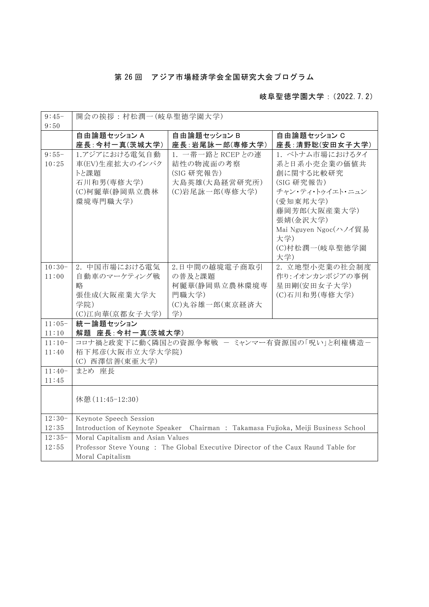## 第 26 回 アジア市場経済学会全国研究大会プログラム

## 岐阜聖徳学園大学:(2022.7.2)

| $9:45-$  | 開会の挨拶:村松潤一(岐阜聖徳学園大学)                                                               |                 |                       |  |  |
|----------|------------------------------------------------------------------------------------|-----------------|-----------------------|--|--|
| 9:50     |                                                                                    |                 |                       |  |  |
|          | 自由論題セッション A                                                                        | 自由論題セッション B     | 自由論題セッション C           |  |  |
|          | 座長:今村一真(茨城大学)                                                                      | 座長:岩尾詠一郎(専修大学)  | 座長:清野聡(安田女子大学)        |  |  |
| $9:55-$  | 1.アジアにおける電気自動                                                                      | 1. 一帯一路とRCEPとの連 | 1. ベトナム市場におけるタイ       |  |  |
| 10:25    | 車(EV)生産拡大のインパク                                                                     | 結性の物流面の考察       | 系と日系小売企業の価値共          |  |  |
|          | トと課題                                                                               | (SIG 研究報告)      | 創に関する比較研究             |  |  |
|          | 石川和男(専修大学)                                                                         | 大島英雄(大島経営研究所)   | (SIG 研究報告)            |  |  |
|          | (C)柯麗華(静岡県立農林                                                                      | (C)岩尾詠一郎(専修大学)  | チャン・ティ・トゥイエト・ニュン      |  |  |
|          | 環境専門職大学)                                                                           |                 | (愛知東邦大学)              |  |  |
|          |                                                                                    |                 | 藤岡芳郎(大阪産業大学)          |  |  |
|          |                                                                                    |                 | 張婧(金沢大学)              |  |  |
|          |                                                                                    |                 | Mai Nguyen Ngoc(ハノイ貿易 |  |  |
|          |                                                                                    |                 | 大学)                   |  |  |
|          |                                                                                    |                 | (C)村松潤一(岐阜聖徳学園<br>大学) |  |  |
| $10:30-$ | 2. 中国市場における電気                                                                      | 2.日中間の越境電子商取引   | 2. 立地型小売業の社会制度        |  |  |
| 11:00    | 自動車のマーケティング戦                                                                       | の普及と課題          | 作り:イオンカンボジアの事例        |  |  |
|          | 略                                                                                  | 柯麗華(静岡県立農林環境専   | 星田剛(安田女子大学)           |  |  |
|          | 張佳成(大阪産業大学大                                                                        | 門職大学)           | (C)石川和男(専修大学)         |  |  |
|          | 学院)                                                                                | (C)丸谷雄一郎(東京経済大  |                       |  |  |
|          | (C)江向華(京都女子大学)                                                                     | 学)              |                       |  |  |
| $11:05-$ | 統一論題セッション                                                                          |                 |                       |  |  |
| 11:10    | 解題 座長:今村一真(茨城大学)                                                                   |                 |                       |  |  |
| $11:10-$ | コロナ禍と政変下に動く隣国との資源争奪戦 ー ミャンマー有資源国の「呪い」と利権構造ー                                        |                 |                       |  |  |
| 11:40    | 栢下邦彦(大阪市立大学大学院)                                                                    |                 |                       |  |  |
|          | (C) 西澤信善(東亜大学)                                                                     |                 |                       |  |  |
| $11:40-$ | まとめ 座長                                                                             |                 |                       |  |  |
| 11:45    |                                                                                    |                 |                       |  |  |
|          |                                                                                    |                 |                       |  |  |
|          | 休憩 (11:45-12:30)                                                                   |                 |                       |  |  |
|          |                                                                                    |                 |                       |  |  |
| $12:30-$ | Keynote Speech Session                                                             |                 |                       |  |  |
| 12:35    | Introduction of Keynote Speaker Chairman : Takamasa Fujioka, Meiji Business School |                 |                       |  |  |
| $12:35-$ | Moral Capitalism and Asian Values                                                  |                 |                       |  |  |
| 12:55    | Professor Steve Young: The Global Executive Director of the Caux Raund Table for   |                 |                       |  |  |
|          | Moral Capitalism                                                                   |                 |                       |  |  |